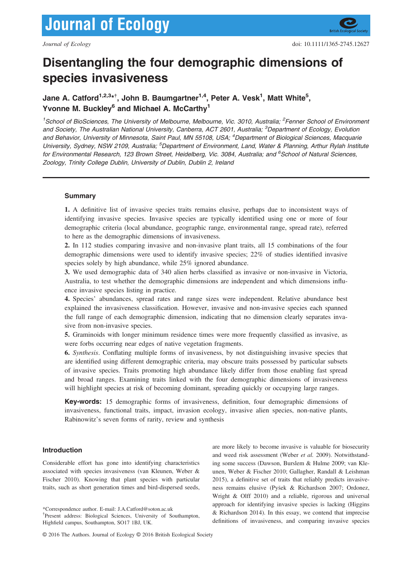# Disentangling the four demographic dimensions of species invasiveness

Jane A. Catford<sup>1,2,3</sup>\*<sup>†</sup>, John B. Baumgartner<sup>1,4</sup>, Peter A. Vesk<sup>1</sup>, Matt White<sup>5</sup>, Yvonne M. Buckley<sup>6</sup> and Michael A. McCarthy<sup>1</sup>

<sup>1</sup>School of BioSciences, The University of Melbourne, Melbourne, Vic. 3010, Australia; <sup>2</sup>Fenner School of Environment and Society, The Australian National University, Canberra, ACT 2601, Australia; <sup>3</sup>Department of Ecology, Evolution and Behavior, University of Minnesota, Saint Paul, MN 55108, USA; <sup>4</sup>Department of Biological Sciences, Macquarie University, Sydney, NSW 2109, Australia; <sup>5</sup>Department of Environment, Land, Water & Planning, Arthur Rylah Institute for Environmental Research, 123 Brown Street, Heidelberg, Vic. 3084, Australia; and <sup>6</sup>School of Natural Sciences, Zoology, Trinity College Dublin, University of Dublin, Dublin 2, Ireland

# Summary

1. A definitive list of invasive species traits remains elusive, perhaps due to inconsistent ways of identifying invasive species. Invasive species are typically identified using one or more of four demographic criteria (local abundance, geographic range, environmental range, spread rate), referred to here as the demographic dimensions of invasiveness.

2. In 112 studies comparing invasive and non-invasive plant traits, all 15 combinations of the four demographic dimensions were used to identify invasive species; 22% of studies identified invasive species solely by high abundance, while 25% ignored abundance.

3. We used demographic data of 340 alien herbs classified as invasive or non-invasive in Victoria, Australia, to test whether the demographic dimensions are independent and which dimensions influence invasive species listing in practice.

4. Species' abundances, spread rates and range sizes were independent. Relative abundance best explained the invasiveness classification. However, invasive and non-invasive species each spanned the full range of each demographic dimension, indicating that no dimension clearly separates invasive from non-invasive species.

5. Graminoids with longer minimum residence times were more frequently classified as invasive, as were forbs occurring near edges of native vegetation fragments.

6. Synthesis. Conflating multiple forms of invasiveness, by not distinguishing invasive species that are identified using different demographic criteria, may obscure traits possessed by particular subsets of invasive species. Traits promoting high abundance likely differ from those enabling fast spread and broad ranges. Examining traits linked with the four demographic dimensions of invasiveness will highlight species at risk of becoming dominant, spreading quickly or occupying large ranges.

Key-words: 15 demographic forms of invasiveness, definition, four demographic dimensions of invasiveness, functional traits, impact, invasion ecology, invasive alien species, non-native plants, Rabinowitz's seven forms of rarity, review and synthesis

## Introduction

Considerable effort has gone into identifying characteristics associated with species invasiveness (van Kleunen, Weber & Fischer 2010). Knowing that plant species with particular traits, such as short generation times and bird-dispersed seeds, are more likely to become invasive is valuable for biosecurity and weed risk assessment (Weber et al. 2009). Notwithstanding some success (Dawson, Burslem & Hulme 2009; van Kleunen, Weber & Fischer 2010; Gallagher, Randall & Leishman 2015), a definitive set of traits that reliably predicts invasiveness remains elusive (Pysek & Richardson 2007; Ordonez, Wright & Olff 2010) and a reliable, rigorous and universal approach for identifying invasive species is lacking (Higgins & Richardson 2014). In this essay, we contend that imprecise definitions of invasiveness, and comparing invasive species

<sup>\*</sup>Correspondence author. E-mail: J.A.Catford@soton.ac.uk

<sup>†</sup> Present address: Biological Sciences, University of Southampton, Highfield campus, Southampton, SO17 1BJ, UK.

<sup>©</sup> 2016 The Authors. Journal of Ecology © 2016 British Ecological Society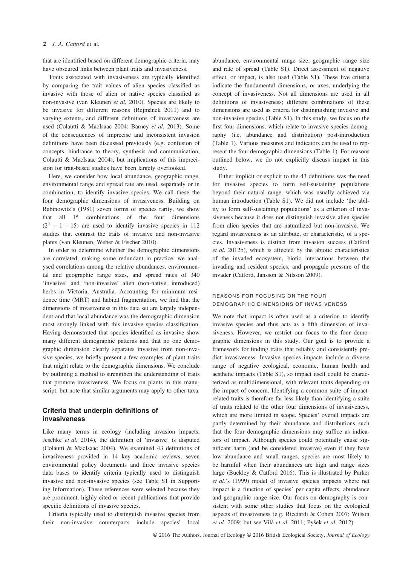that are identified based on different demographic criteria, may have obscured links between plant traits and invasiveness.

Traits associated with invasiveness are typically identified by comparing the trait values of alien species classified as invasive with those of alien or native species classified as non-invasive (van Kleunen et al. 2010). Species are likely to be invasive for different reasons (Rejmanek 2011) and to varying extents, and different definitions of invasiveness are used (Colautti & MacIsaac 2004; Barney et al. 2013). Some of the consequences of imprecise and inconsistent invasion definitions have been discussed previously (e.g. confusion of concepts, hindrance to theory, synthesis and communication, Colautti & MacIsaac 2004), but implications of this imprecision for trait-based studies have been largely overlooked.

Here, we consider how local abundance, geographic range, environmental range and spread rate are used, separately or in combination, to identify invasive species. We call these the four demographic dimensions of invasiveness. Building on Rabinowitz's (1981) seven forms of species rarity, we show that all 15 combinations of the four dimensions  $(2<sup>4</sup> - 1 = 15)$  are used to identify invasive species in 112 studies that contrast the traits of invasive and non-invasive plants (van Kleunen, Weber & Fischer 2010).

In order to determine whether the demographic dimensions are correlated, making some redundant in practice, we analysed correlations among the relative abundances, environmental and geographic range sizes, and spread rates of 340 'invasive' and 'non-invasive' alien (non-native, introduced) herbs in Victoria, Australia. Accounting for minimum residence time (MRT) and habitat fragmentation, we find that the dimensions of invasiveness in this data set are largely independent and that local abundance was the demographic dimension most strongly linked with this invasive species classification. Having demonstrated that species identified as invasive show many different demographic patterns and that no one demographic dimension clearly separates invasive from non-invasive species, we briefly present a few examples of plant traits that might relate to the demographic dimensions. We conclude by outlining a method to strengthen the understanding of traits that promote invasiveness. We focus on plants in this manuscript, but note that similar arguments may apply to other taxa.

# Criteria that underpin definitions of invasiveness

Like many terms in ecology (including invasion impacts, Jeschke et al. 2014), the definition of 'invasive' is disputed (Colautti & MacIsaac 2004). We examined 43 definitions of invasiveness provided in 14 key academic reviews, seven environmental policy documents and three invasive species data bases to identify criteria typically used to distinguish invasive and non-invasive species (see Table S1 in Supporting Information). These references were selected because they are prominent, highly cited or recent publications that provide specific definitions of invasive species.

Criteria typically used to distinguish invasive species from their non-invasive counterparts include species' local abundance, environmental range size, geographic range size and rate of spread (Table S1). Direct assessment of negative effect, or impact, is also used (Table S1). These five criteria indicate the fundamental dimensions, or axes, underlying the concept of invasiveness. Not all dimensions are used in all definitions of invasiveness; different combinations of these dimensions are used as criteria for distinguishing invasive and non-invasive species (Table S1). In this study, we focus on the first four dimensions, which relate to invasive species demography (i.e. abundance and distribution) post-introduction (Table 1). Various measures and indicators can be used to represent the four demographic dimensions (Table 1). For reasons outlined below, we do not explicitly discuss impact in this study.

Either implicit or explicit to the 43 definitions was the need for invasive species to form self-sustaining populations beyond their natural range, which was usually achieved via human introduction (Table S1). We did not include 'the ability to form self-sustaining populations' as a criterion of invasiveness because it does not distinguish invasive alien species from alien species that are naturalized but non-invasive. We regard invasiveness as an attribute, or characteristic, of a species. Invasiveness is distinct from invasion success (Catford et al. 2012b), which is affected by the abiotic characteristics of the invaded ecosystem, biotic interactions between the invading and resident species, and propagule pressure of the invader (Catford, Jansson & Nilsson 2009).

# REASONS FOR FOCUSING ON THE FOUR DEMOGRAPHIC DIMENSIONS OF INVASIVENESS

We note that impact is often used as a criterion to identify invasive species and thus acts as a fifth dimension of invasiveness. However, we restrict our focus to the four demographic dimensions in this study. Our goal is to provide a framework for finding traits that reliably and consistently predict invasiveness. Invasive species impacts include a diverse range of negative ecological, economic, human health and aesthetic impacts (Table S1), so impact itself could be characterized as multidimensional, with relevant traits depending on the impact of concern. Identifying a common suite of impactrelated traits is therefore far less likely than identifying a suite of traits related to the other four dimensions of invasiveness, which are more limited in scope. Species' overall impacts are partly determined by their abundance and distributions such that the four demographic dimensions may suffice as indicators of impact. Although species could potentially cause significant harm (and be considered invasive) even if they have low abundance and small ranges, species are most likely to be harmful when their abundances are high and range sizes large (Buckley & Catford 2016). This is illustrated by Parker et al.'s (1999) model of invasive species impacts where net impact is a function of species' per capita effects, abundance and geographic range size. Our focus on demography is consistent with some other studies that focus on the ecological aspects of invasiveness (e.g. Ricciardi & Cohen 2007; Wilson et al. 2009; but see Vilà et al. 2011; Pyšek et al. 2012).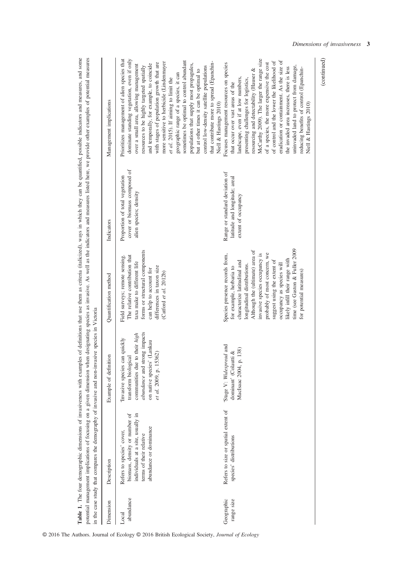|                          | in the case study that compares the demography of invasive and non-invasive species in Victoria                                                      |                                                                                                                                                                                   |                                                                                                                                                                                                                                                                                                                                                                                          |                                                                                          | Table 1. The four demographic dimensions of invasiveness with examples of definitions that use them as criteria (italicized), ways in which they can be quantified, possible indicators and measures, and some<br>potential management implications of focusing on a given dimension when designating species as invasive. As well as the indicators and measures listed here, we provide other examples of potential measures                                                                                                                                                          |
|--------------------------|------------------------------------------------------------------------------------------------------------------------------------------------------|-----------------------------------------------------------------------------------------------------------------------------------------------------------------------------------|------------------------------------------------------------------------------------------------------------------------------------------------------------------------------------------------------------------------------------------------------------------------------------------------------------------------------------------------------------------------------------------|------------------------------------------------------------------------------------------|-----------------------------------------------------------------------------------------------------------------------------------------------------------------------------------------------------------------------------------------------------------------------------------------------------------------------------------------------------------------------------------------------------------------------------------------------------------------------------------------------------------------------------------------------------------------------------------------|
| Dimension                | Description                                                                                                                                          | Example of definition                                                                                                                                                             | Quantification method                                                                                                                                                                                                                                                                                                                                                                    | Indicators                                                                               | Management implications                                                                                                                                                                                                                                                                                                                                                                                                                                                                                                                                                                 |
| abundance<br>Local       | individuals at a site, usually in<br>biomass, density or number of<br>abundance or dominance<br>Refers to species' cover,<br>terms of their relative | abundance and strong impacts<br>communities due to their high<br>'Invasive species can quickly<br>on native species' (Lankau<br>15362)<br>transform biological<br>et al. 2009, p. | forms or structural components<br>The relative contribution that<br>Field surveys; remote sensing.<br>taxa make to different life<br>differences in taxon size<br>can help to account for<br>(Catford et al. 2012b)                                                                                                                                                                      | cover or biomass composed of<br>Proportion of total vegetation<br>alien species; density | Prioritizes management of alien species that<br>dominate standing vegetation, even if only<br>sometimes be optimal to control abundant<br>more sensitive to herbicide (Lindenmayer<br>with stages of population growth that are<br>and temporally, for example, to coincide<br>populations that supply most propagules,<br>over a small area, allowing management<br>control low-density satellite populations<br>resources to be highly targeted spatially<br>but at other times it can be optimal to<br>geographic range of a species, it can<br>et al. 2015). If aiming to limit the |
|                          |                                                                                                                                                      |                                                                                                                                                                                   |                                                                                                                                                                                                                                                                                                                                                                                          |                                                                                          | that contribute more to spread (Epanchin-<br>Niell & Hastings 2010)                                                                                                                                                                                                                                                                                                                                                                                                                                                                                                                     |
| Geographic<br>range size | Refers to size or spatial extent of<br>species' distributions                                                                                        | 'Stage V: Widespread and<br>, p. 138)<br>dominant' (Colautti &<br>MacIsaac 2004                                                                                                   | time (see Gaston & Fuller 2009<br>Although the (ultimate) area of<br>invasive species occupancy is<br>probably of most concern, we<br>Species presence records from,<br>likely infill their range with<br>suggest using the extent of<br>characterize latitudinal and<br>occupancy as species will<br>longitudinal distributions.<br>for example, herbaria to<br>for potential measures) | Range or standard deviation of<br>latitude and longitude; areal<br>extent of occupancy   | McCarthy 2009). The larger the range size<br>eradication or containment. As the size of<br>of control and the lower the likelihood of<br>of a species, the more expensive the cost<br>Focuses management resources on species<br>uninvaded land to protect from damage,<br>the invaded area increases, there is less<br>reducing benefits of control (Epanchin-<br>resourcing and detectability (Hauser &<br>landscape, even if at low numbers,<br>presenting challenges for logistics,<br>that occur over vast areas of the<br>Niell & Hastings 2010)                                  |

© 2016 The Authors. Journal of Ecology © 2016 British Ecological Society, Journal of Ecology

Dimensions of invasiveness 3

(continued)

 $(continued)$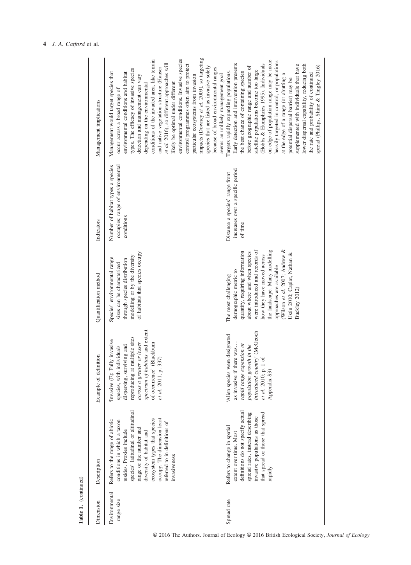| ĩ                |
|------------------|
|                  |
| ⋍<br>3<br>⋍<br>F |

| Dimension                   | Description                                                                                                                                                                                                                                                                                             | Example of definition                                                                                                                                                                                                                               | Quantification method                                                                                                                                                                                                                                                                                                          | Indicators                                                                          | Management implications                                                                                                                                                                                                                                                                                                                                                                                                                                                                                                                                                                                                                                                            |
|-----------------------------|---------------------------------------------------------------------------------------------------------------------------------------------------------------------------------------------------------------------------------------------------------------------------------------------------------|-----------------------------------------------------------------------------------------------------------------------------------------------------------------------------------------------------------------------------------------------------|--------------------------------------------------------------------------------------------------------------------------------------------------------------------------------------------------------------------------------------------------------------------------------------------------------------------------------|-------------------------------------------------------------------------------------|------------------------------------------------------------------------------------------------------------------------------------------------------------------------------------------------------------------------------------------------------------------------------------------------------------------------------------------------------------------------------------------------------------------------------------------------------------------------------------------------------------------------------------------------------------------------------------------------------------------------------------------------------------------------------------|
| Environmental<br>range size | species' latitudinal or altitudinal<br>ecosystem types that species<br>occupy. The dimension least<br>Refers to the range of abiotic<br>conditions in which a taxon<br>referred to in definitions of<br>range or the number and<br>resides. Proxies include<br>diversity of habitat and<br>invasiveness | spectrum of habitats and extent<br>reproducing at multiple sites<br>'Invasive (E): Fully invasive<br>across a greater or lesser<br>Blackburn<br>dispersing, surviving and<br>species, with individuals<br>337)<br>et al. 2011, p.<br>of occurrence' | of habitats that species occupy<br>modelling or by the diversity<br>Species' environmental range<br>through species distribution<br>sizes can be characterized                                                                                                                                                                 | occupies; range of environmental<br>Number of habitat types a species<br>conditions | impacts (Downey et al. 2009), so targeting<br>environmental conditions. Invasive species<br>conditions of the invaded area, like terrain<br>et al. 2016), so different approaches will<br>control programmes often aim to protect<br>species that are listed as invasive solely<br>and native vegetation structure (Hauser<br>because of broad environmental ranges<br>types. The efficacy of invasive species<br>Management would target species that<br>environmental conditions and habitat<br>detection and management can vary<br>particular ecosystems from invasion<br>likely be optimal under different<br>depending on the environmental<br>occur across a broad range of |
| Spread rate                 | definitions do not specify actual<br>spread rates, instead describing<br>that spread or those that spread<br>invasive populations as those<br>Refers to change in spatial<br>extent over time. Most<br>rapidly                                                                                          | introduced country' (McGeoch<br>'Alien species were designated<br>as invasive if there was<br>rapid range expansion or<br>population growth in the<br>$1$ of<br>et al. 2010; p.<br>Appendix S3)                                                     | Wilson et al. 2007; Andrew &<br>were introduced and records of<br>the landscape. Many modelling<br>quantify, requiring information<br>about where and when species<br>Ustin 2010; Caplat, Nathan &<br>how they have moved across<br>approaches are available<br>demographic metric to<br>The most challenging<br>Buckley 2012) | increases over a specific period<br>Distance a species' range front<br>of time      | on edge of population range may be more<br>heavily targeted in control, or populations<br>(Hobbs & Humphries 1995). Individuals<br>Early detection and intervention presents<br>lower dispersal capability, reducing both<br>supplemented with individuals that have<br>spread (Phillips, Shine & Tingley 2016)<br>before geographic range and number of<br>satellite populations become too large<br>Targets rapidly expanding populations.<br>the best chance of containing species<br>the rate and probability of continued<br>at the edge of a range (or abutting a<br>seems an unlikely management goal<br>potential dispersal barrier) may be                                |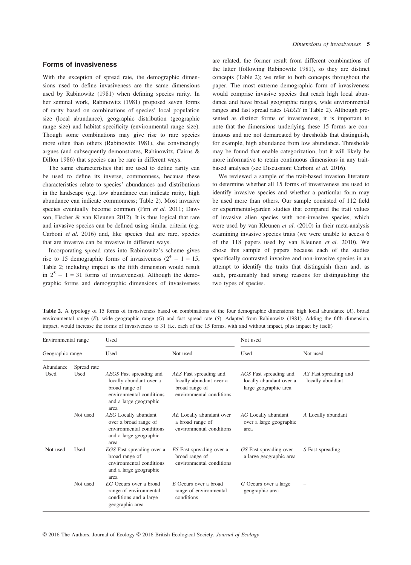# Forms of invasiveness

With the exception of spread rate, the demographic dimensions used to define invasiveness are the same dimensions used by Rabinowitz (1981) when defining species rarity. In her seminal work, Rabinowitz (1981) proposed seven forms of rarity based on combinations of species' local population size (local abundance), geographic distribution (geographic range size) and habitat specificity (environmental range size). Though some combinations may give rise to rare species more often than others (Rabinowitz 1981), she convincingly argues (and subsequently demonstrates, Rabinowitz, Cairns & Dillon 1986) that species can be rare in different ways.

The same characteristics that are used to define rarity can be used to define its inverse, commonness, because these characteristics relate to species' abundances and distributions in the landscape (e.g. low abundance can indicate rarity, high abundance can indicate commonness; Table 2). Most invasive species eventually become common (Firn et al. 2011; Dawson, Fischer & van Kleunen 2012). It is thus logical that rare and invasive species can be defined using similar criteria (e.g. Carboni et al. 2016) and, like species that are rare, species that are invasive can be invasive in different ways.

Incorporating spread rates into Rabinowitz's scheme gives rise to 15 demographic forms of invasiveness  $(2^4 - 1 = 15,$ Table 2; including impact as the fifth dimension would result in  $2^5 - 1 = 31$  forms of invasiveness). Although the demographic forms and demographic dimensions of invasiveness are related, the former result from different combinations of the latter (following Rabinowitz 1981), so they are distinct concepts (Table 2); we refer to both concepts throughout the paper. The most extreme demographic form of invasiveness would comprise invasive species that reach high local abundance and have broad geographic ranges, wide environmental ranges and fast spread rates (AEGS in Table 2). Although presented as distinct forms of invasiveness, it is important to note that the dimensions underlying these 15 forms are continuous and are not demarcated by thresholds that distinguish, for example, high abundance from low abundance. Thresholds may be found that enable categorization, but it will likely be more informative to retain continuous dimensions in any traitbased analyses (see Discussion; Carboni et al. 2016).

We reviewed a sample of the trait-based invasion literature to determine whether all 15 forms of invasiveness are used to identify invasive species and whether a particular form may be used more than others. Our sample consisted of 112 field or experimental-garden studies that compared the trait values of invasive alien species with non-invasive species, which were used by van Kleunen et al. (2010) in their meta-analysis examining invasive species traits (we were unable to access 6 of the 118 papers used by van Kleunen et al. 2010). We chose this sample of papers because each of the studies specifically contrasted invasive and non-invasive species in an attempt to identify the traits that distinguish them and, as such, presumably had strong reasons for distinguishing the two types of species.

| Environmental range |                     | Used                                                                                                                               |                                                                                                 | Not used                                                                   |                                           |
|---------------------|---------------------|------------------------------------------------------------------------------------------------------------------------------------|-------------------------------------------------------------------------------------------------|----------------------------------------------------------------------------|-------------------------------------------|
| Geographic range    |                     | Used                                                                                                                               | Not used                                                                                        | Used                                                                       | Not used                                  |
| Abundance<br>Used   | Spread rate<br>Used | AEGS Fast spreading and<br>locally abundant over a<br>broad range of<br>environmental conditions<br>and a large geographic<br>area | AES Fast spreading and<br>locally abundant over a<br>broad range of<br>environmental conditions | AGS Fast spreading and<br>locally abundant over a<br>large geographic area | AS Fast spreading and<br>locally abundant |
|                     | Not used            | AEG Locally abundant<br>over a broad range of<br>environmental conditions<br>and a large geographic<br>area                        | AE Locally abundant over<br>a broad range of<br>environmental conditions                        | AG Locally abundant<br>over a large geographic<br>area                     | A Locally abundant                        |
| Not used            | Used                | EGS Fast spreading over a<br>broad range of<br>environmental conditions<br>and a large geographic<br>area                          | ES Fast spreading over a<br>broad range of<br>environmental conditions                          | GS Fast spreading over<br>a large geographic area                          | S Fast spreading                          |
|                     | Not used            | <i>EG</i> Occurs over a broad<br>range of environmental<br>conditions and a large<br>geographic area                               | E Occurs over a broad<br>range of environmental<br>conditions                                   | G Occurs over a large<br>geographic area                                   |                                           |

Table 2. A typology of 15 forms of invasiveness based on combinations of the four demographic dimensions: high local abundance (A), broad environmental range  $(E)$ , wide geographic range  $(G)$  and fast spread rate  $(S)$ . Adapted from Rabinowitz (1981). Adding the fifth dimension, impact, would increase the forms of invasiveness to 31 (i.e. each of the 15 forms, with and without impact, plus impact by itself)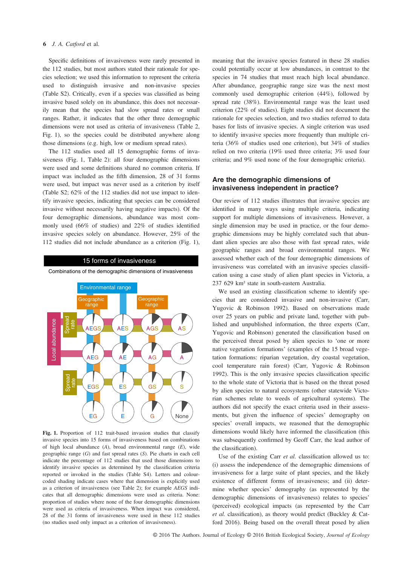Specific definitions of invasiveness were rarely presented in the 112 studies, but most authors stated their rationale for species selection; we used this information to represent the criteria used to distinguish invasive and non-invasive species (Table S2). Critically, even if a species was classified as being invasive based solely on its abundance, this does not necessarily mean that the species had slow spread rates or small ranges. Rather, it indicates that the other three demographic dimensions were not used as criteria of invasiveness (Table 2, Fig. 1), so the species could be distributed anywhere along those dimensions (e.g. high, low or medium spread rates).

The 112 studies used all 15 demographic forms of invasiveness (Fig. 1, Table 2): all four demographic dimensions were used and some definitions shared no common criteria. If impact was included as the fifth dimension, 28 of 31 forms were used, but impact was never used as a criterion by itself (Table S2; 62% of the 112 studies did not use impact to identify invasive species, indicating that species can be considered invasive without necessarily having negative impacts). Of the four demographic dimensions, abundance was most commonly used (66% of studies) and 22% of studies identified invasive species solely on abundance. However, 25% of the 112 studies did not include abundance as a criterion (Fig. 1),

#### 15 forms of invasiveness

Combinations of the demographic dimensions of invasiveness



Fig. 1. Proportion of 112 trait-based invasion studies that classify invasive species into 15 forms of invasiveness based on combinations of high local abundance  $(A)$ , broad environmental range  $(E)$ , wide geographic range  $(G)$  and fast spread rates  $(S)$ . Pie charts in each cell indicate the percentage of 112 studies that used those dimensions to identify invasive species as determined by the classification criteria reported or invoked in the studies (Table S4). Letters and colourcoded shading indicate cases where that dimension is explicitly used as a criterion of invasiveness (see Table 2); for example AEGS indicates that all demographic dimensions were used as criteria. None: proportion of studies where none of the four demographic dimensions were used as criteria of invasiveness. When impact was considered, 28 of the 31 forms of invasiveness were used in these 112 studies (no studies used only impact as a criterion of invasiveness).

meaning that the invasive species featured in these 28 studies could potentially occur at low abundances, in contrast to the species in 74 studies that must reach high local abundance. After abundance, geographic range size was the next most commonly used demographic criterion (44%), followed by spread rate (38%). Environmental range was the least used criterion (22% of studies). Eight studies did not document the rationale for species selection, and two studies referred to data bases for lists of invasive species. A single criterion was used to identify invasive species more frequently than multiple criteria (36% of studies used one criterion), but 34% of studies relied on two criteria (19% used three criteria; 3% used four criteria; and 9% used none of the four demographic criteria).

# Are the demographic dimensions of invasiveness independent in practice?

Our review of 112 studies illustrates that invasive species are identified in many ways using multiple criteria, indicating support for multiple dimensions of invasiveness. However, a single dimension may be used in practice, or the four demographic dimensions may be highly correlated such that abundant alien species are also those with fast spread rates, wide geographic ranges and broad environmental ranges. We assessed whether each of the four demographic dimensions of invasiveness was correlated with an invasive species classification using a case study of alien plant species in Victoria, a 237 629 km² state in south-eastern Australia.

We used an existing classification scheme to identify species that are considered invasive and non-invasive (Carr, Yugovic & Robinson 1992). Based on observations made over 25 years on public and private land, together with published and unpublished information, the three experts (Carr, Yugovic and Robinson) generated the classification based on the perceived threat posed by alien species to 'one or more native vegetation formations' (examples of the 15 broad vegetation formations: riparian vegetation, dry coastal vegetation, cool temperature rain forest) (Carr, Yugovic & Robinson 1992). This is the only invasive species classification specific to the whole state of Victoria that is based on the threat posed by alien species to natural ecosystems (other statewide Victorian schemes relate to weeds of agricultural systems). The authors did not specify the exact criteria used in their assessments, but given the influence of species' demography on species' overall impacts, we reasoned that the demographic dimensions would likely have informed the classification (this was subsequently confirmed by Geoff Carr, the lead author of the classification).

Use of the existing Carr et al. classification allowed us to: (i) assess the independence of the demographic dimensions of invasiveness for a large suite of plant species, and the likely existence of different forms of invasiveness; and (ii) determine whether species' demography (as represented by the demographic dimensions of invasiveness) relates to species' (perceived) ecological impacts (as represented by the Carr et al. classification), as theory would predict (Buckley & Catford 2016). Being based on the overall threat posed by alien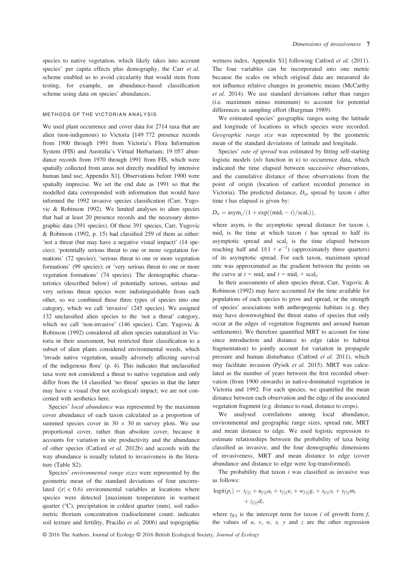species to native vegetation, which likely takes into account species' per capita effects plus demography, the Carr et al. scheme enabled us to avoid circularity that would stem from testing, for example, an abundance-based classification scheme using data on species' abundances.

#### METHODS OF THE VICTORIAN ANALYSIS

We used plant occurrence and cover data for 2714 taxa that are alien (non-indigenous) to Victoria [149 772 presence records from 1900 through 1991 from Victoria's Flora Information System (FIS) and Australia's Virtual Herbarium; 19 057 abundance records from 1970 through 1991 from FIS, which were spatially collected from areas not directly modified by intensive human land use; Appendix S1]. Observations before 1900 were spatially imprecise. We set the end date as 1991 so that the modelled data corresponded with information that would have informed the 1992 invasive species classification (Carr, Yugovic & Robinson 1992). We limited analyses to alien species that had at least 20 presence records and the necessary demographic data (391 species). Of these 391 species, Carr, Yugovic & Robinson (1992, p. 15) had classified 259 of them as either: 'not a threat (but may have a negative visual impact)' (14 species); 'potentially serious threat to one or more vegetation formations' (72 species); 'serious threat to one or more vegetation formations' (99 species); or 'very serious threat to one or more vegetation formations' (74 species). The demographic characteristics (described below) of potentially serious, serious and very serious threat species were indistinguishable from each other, so we combined these three types of species into one category, which we call 'invasive' (245 species). We assigned 132 unclassified alien species to the 'not a threat' category, which we call 'non-invasive' (146 species). Carr, Yugovic & Robinson (1992) considered all alien species naturalized in Victoria in their assessment, but restricted their classification to a subset of alien plants considered environmental weeds, which 'invade native vegetation, usually adversely affecting survival of the indigenous flora' (p. 4). This indicates that unclassified taxa were not considered a threat to native vegetation and only differ from the 14 classified 'no threat' species in that the latter may have a visual (but not ecological) impact; we are not concerned with aesthetics here.

Species' local abundance was represented by the maximum cover abundance of each taxon calculated as a proportion of summed species cover in  $30 \times 30$  m survey plots. We use proportional cover, rather than absolute cover, because it accounts for variation in site productivity and the abundance of other species (Catford et al. 2012b) and accords with the way abundance is usually related to invasiveness in the literature (Table S2).

Species' environmental range sizes were represented by the geometric mean of the standard deviations of four uncorrelated  $(|r| < 0.6)$  environmental variables at locations where species were detected [maximum temperature in warmest quarter (°C), precipitation in coldest quarter (mm), soil radiometric thorium concentration (radioelement count; indicates soil texture and fertility, Pracilio et al. 2006) and topographic wetness index, Appendix S1] following Catford et al. (2011). The four variables can be incorporated into one metric because the scales on which original data are measured do not influence relative changes in geometric means (McCarthy et al. 2014). We use standard deviations rather than ranges (i.e. maximum minus minimum) to account for potential differences in sampling effort (Burgman 1989).

We estimated species' geographic ranges using the latitude and longitude of locations in which species were recorded. Geographic range size was represented by the geometric mean of the standard deviations of latitude and longitude.

Species' rate of spread was estimated by fitting self-starting logistic models (nls function in R) to occurrence data, which indicated the time elapsed between successive observations, and the cumulative distance of these observations from the point of origin (location of earliest recorded presence in Victoria). The predicted distance,  $D_{it}$ , spread by taxon *i* after time  $t$  has elapsed is given by:

$$
D_{it} = \text{asym}_i/(1 + \exp((\text{mid}_i - t)/\text{scal}_i)),
$$

where asym<sub>i</sub> is the asymptotic spread distance for taxon  $i$ ,  $mid_i$  is the time at which taxon i has spread to half its asymptotic spread and  $scal_i$  is the time elapsed between reaching half and  $1/(1 + e^{-1})$  (approximately three quarters) of its asymptotic spread. For each taxon, maximum spread rate was approximated as the gradient between the points on the curve at  $t = mid_i$  and  $t = mid_i + scal_i$ .

In their assessments of alien species threat, Carr, Yugovic & Robinson (1992) may have accounted for the time available for populations of each species to grow and spread, or the strength of species' associations with anthropogenic habitats (e.g. they may have downweighted the threat status of species that only occur at the edges of vegetation fragments and around human settlements). We therefore quantified MRT to account for time since introduction and distance to edge (akin to habitat fragmentation) to jointly account for variation in propagule pressure and human disturbance (Catford et al. 2011), which may facilitate invasion (Pyšek et al. 2015). MRT was calculated as the number of years between the first recorded observation (from 1900 onwards) in native-dominated vegetation in Victoria and 1992. For each species, we quantified the mean distance between each observation and the edge of the associated vegetation fragment (e.g. distance to road, distance to crops).

We analysed correlations among local abundance, environmental and geographic range sizes, spread rate, MRT and mean distance to edge. We used logistic regression to estimate relationships between the probability of taxa being classified as invasive, and the four demographic dimensions of invasiveness, MRT and mean distance to edge (cover abundance and distance to edge were log-transformed).

The probability that taxon  $i$  was classified as invasive was as follows:

$$
logit(p_i) = t_{f[i]} + u_{f[i]}a_i + v_{f[i]}e_i + w_{f[i]}g_i + x_{f[i]}s_i + y_{f[i]}m_i + z_{f[i]}d_i,
$$

where  $t_{fi}$  is the intercept term for taxon i of growth form f, the values of  $u$ ,  $v$ ,  $w$ ,  $x$ ,  $y$  and  $z$  are the other regression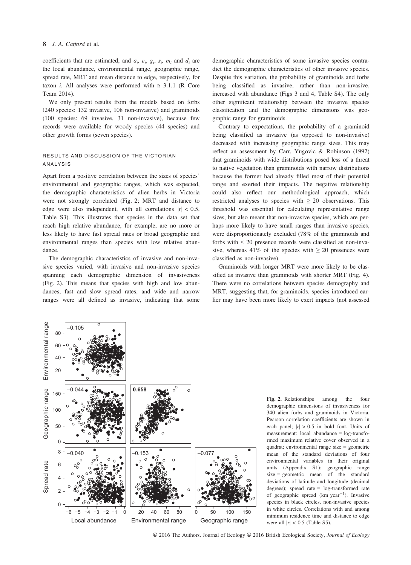coefficients that are estimated, and  $a_i$ ,  $e_i$ ,  $g_i$ ,  $s_i$ ,  $m_i$  and  $d_i$  are the local abundance, environmental range, geographic range, spread rate, MRT and mean distance to edge, respectively, for taxon  $i$ . All analyses were performed with  $R$  3.1.1 ( $R$  Core Team 2014).

We only present results from the models based on forbs (240 species: 132 invasive, 108 non-invasive) and graminoids (100 species: 69 invasive, 31 non-invasive), because few records were available for woody species (44 species) and other growth forms (seven species).

## RESULTS AND DISCUSSION OF THE VICTORIAN ANALYSIS

Apart from a positive correlation between the sizes of species' environmental and geographic ranges, which was expected, the demographic characteristics of alien herbs in Victoria were not strongly correlated (Fig. 2; MRT and distance to edge were also independent, with all correlations  $|r| < 0.5$ , Table S3). This illustrates that species in the data set that reach high relative abundance, for example, are no more or less likely to have fast spread rates or broad geographic and environmental ranges than species with low relative abundance.

The demographic characteristics of invasive and non-invasive species varied, with invasive and non-invasive species spanning each demographic dimension of invasiveness (Fig. 2). This means that species with high and low abundances, fast and slow spread rates, and wide and narrow ranges were all defined as invasive, indicating that some demographic characteristics of some invasive species contradict the demographic characteristics of other invasive species. Despite this variation, the probability of graminoids and forbs being classified as invasive, rather than non-invasive, increased with abundance (Figs 3 and 4, Table S4). The only other significant relationship between the invasive species classification and the demographic dimensions was geographic range for graminoids.

Contrary to expectations, the probability of a graminoid being classified as invasive (as opposed to non-invasive) decreased with increasing geographic range sizes. This may reflect an assessment by Carr, Yugovic & Robinson (1992) that graminoids with wide distributions posed less of a threat to native vegetation than graminoids with narrow distributions because the former had already filled most of their potential range and exerted their impacts. The negative relationship could also reflect our methodological approach, which restricted analyses to species with  $\geq 20$  observations. This threshold was essential for calculating representative range sizes, but also meant that non-invasive species, which are perhaps more likely to have small ranges than invasive species, were disproportionately excluded (78% of the graminoids and forbs with < 20 presence records were classified as non-invasive, whereas 41% of the species with  $\geq 20$  presences were classified as non-invasive).

Graminoids with longer MRT were more likely to be classified as invasive than graminoids with shorter MRT (Fig. 4). There were no correlations between species demography and MRT, suggesting that, for graminoids, species introduced earlier may have been more likely to exert impacts (not assessed



Fig. 2. Relationships among the four demographic dimensions of invasiveness for 340 alien forbs and graminoids in Victoria. Pearson correlation coefficients are shown in each panel;  $|r| > 0.5$  in bold font. Units of measurement: local abundance = log-transformed maximum relative cover observed in a quadrat; environmental range size = geometric mean of the standard deviations of four environmental variables in their original units (Appendix S1); geographic range size = geometric mean of the standard deviations of latitude and longitude (decimal degrees); spread rate = log-transformed rate of geographic spread  $(km \text{ year}^{-1})$ . Invasive species in black circles, non-invasive species in white circles. Correlations with and among minimum residence time and distance to edge were all  $|r| < 0.5$  (Table S5).

© 2016 The Authors. Journal of Ecology © 2016 British Ecological Society, Journal of Ecology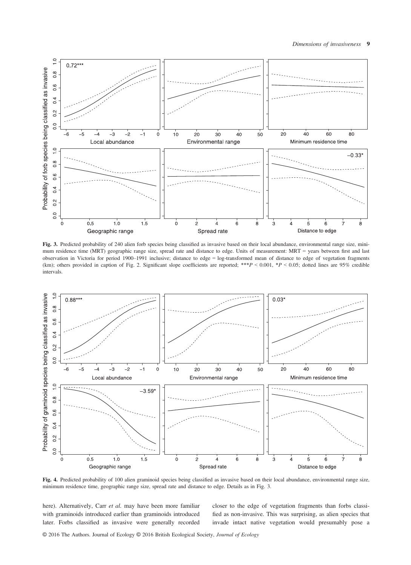

Fig. 3. Predicted probability of 240 alien forb species being classified as invasive based on their local abundance, environmental range size, minimum residence time (MRT) geographic range size, spread rate and distance to edge. Units of measurement: MRT = years between first and last observation in Victoria for period 1900–1991 inclusive; distance to edge = log-transformed mean of distance to edge of vegetation fragments (km); others provided in caption of Fig. 2. Significant slope coefficients are reported; \*\*\* $P < 0.001$ , \* $P < 0.05$ ; dotted lines are 95% credible intervals.



Fig. 4. Predicted probability of 100 alien graminoid species being classified as invasive based on their local abundance, environmental range size, minimum residence time, geographic range size, spread rate and distance to edge. Details as in Fig. 3.

here). Alternatively, Carr et al. may have been more familiar with graminoids introduced earlier than graminoids introduced later. Forbs classified as invasive were generally recorded

closer to the edge of vegetation fragments than forbs classified as non-invasive. This was surprising, as alien species that invade intact native vegetation would presumably pose a

© 2016 The Authors. Journal of Ecology © 2016 British Ecological Society, Journal of Ecology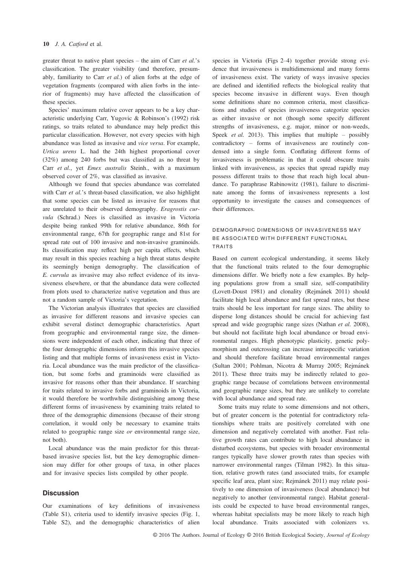greater threat to native plant species – the aim of Carr  $et$  al.'s classification. The greater visibility (and therefore, presumably, familiarity to Carr et al.) of alien forbs at the edge of vegetation fragments (compared with alien forbs in the interior of fragments) may have affected the classification of these species.

Species' maximum relative cover appears to be a key characteristic underlying Carr, Yugovic & Robinson's (1992) risk ratings, so traits related to abundance may help predict this particular classification. However, not every species with high abundance was listed as invasive and vice versa. For example, Urtica urens L. had the 24th highest proportional cover (32%) among 240 forbs but was classified as no threat by Carr et al., yet Emex australis Steinh., with a maximum observed cover of 2%, was classified as invasive.

Although we found that species abundance was correlated with Carr et al.'s threat-based classification, we also highlight that some species can be listed as invasive for reasons that are unrelated to their observed demography. Eragrostis curvula (Schrad.) Nees is classified as invasive in Victoria despite being ranked 99th for relative abundance, 86th for environmental range, 67th for geographic range and 81st for spread rate out of 100 invasive and non-invasive graminoids. Its classification may reflect high per capita effects, which may result in this species reaching a high threat status despite its seemingly benign demography. The classification of E. curvula as invasive may also reflect evidence of its invasiveness elsewhere, or that the abundance data were collected from plots used to characterize native vegetation and thus are not a random sample of Victoria's vegetation.

The Victorian analysis illustrates that species are classified as invasive for different reasons and invasive species can exhibit several distinct demographic characteristics. Apart from geographic and environmental range size, the dimensions were independent of each other, indicating that three of the four demographic dimensions inform this invasive species listing and that multiple forms of invasiveness exist in Victoria. Local abundance was the main predictor of the classification, but some forbs and graminoids were classified as invasive for reasons other than their abundance. If searching for traits related to invasive forbs and graminoids in Victoria, it would therefore be worthwhile distinguishing among these different forms of invasiveness by examining traits related to three of the demographic dimensions (because of their strong correlation, it would only be necessary to examine traits related to geographic range size  $or$  environmental range size, not both).

Local abundance was the main predictor for this threatbased invasive species list, but the key demographic dimension may differ for other groups of taxa, in other places and for invasive species lists compiled by other people.

## **Discussion**

Our examinations of key definitions of invasiveness (Table S1), criteria used to identify invasive species (Fig. 1, Table S2), and the demographic characteristics of alien species in Victoria (Figs 2–4) together provide strong evidence that invasiveness is multidimensional and many forms of invasiveness exist. The variety of ways invasive species are defined and identified reflects the biological reality that species become invasive in different ways. Even though some definitions share no common criteria, most classifications and studies of species invasiveness categorize species as either invasive or not (though some specify different strengths of invasiveness, e.g. major, minor or non-weeds, Speek *et al.* 2013). This implies that multiple – possibly contradictory – forms of invasiveness are routinely condensed into a single form. Conflating different forms of invasiveness is problematic in that it could obscure traits linked with invasiveness, as species that spread rapidly may possess different traits to those that reach high local abundance. To paraphrase Rabinowitz (1981), failure to discriminate among the forms of invasiveness represents a lost opportunity to investigate the causes and consequences of their differences.

## DEMOGRAPHIC DIMENSIONS OF INVASIVENESS MAY BE ASSOCIATED WITH DIFFERENT FUNCTIONAL TRAITS

Based on current ecological understanding, it seems likely that the functional traits related to the four demographic dimensions differ. We briefly note a few examples. By helping populations grow from a small size, self-compatibility (Lovett-Doust 1981) and clonality (Rejmánek 2011) should facilitate high local abundance and fast spread rates, but these traits should be less important for range sizes. The ability to disperse long distances should be crucial for achieving fast spread and wide geographic range sizes (Nathan et al. 2008), but should not facilitate high local abundance or broad environmental ranges. High phenotypic plasticity, genetic polymorphism and outcrossing can increase intraspecific variation and should therefore facilitate broad environmental ranges (Sultan 2001; Pohlman, Nicotra & Murray 2005; Rejmánek 2011). These three traits may be indirectly related to geographic range because of correlations between environmental and geographic range sizes, but they are unlikely to correlate with local abundance and spread rate.

Some traits may relate to some dimensions and not others, but of greater concern is the potential for contradictory relationships where traits are positively correlated with one dimension and negatively correlated with another. Fast relative growth rates can contribute to high local abundance in disturbed ecosystems, but species with broader environmental ranges typically have slower growth rates than species with narrower environmental ranges (Tilman 1982). In this situation, relative growth rates (and associated traits, for example specific leaf area, plant size; Rejmánek 2011) may relate positively to one dimension of invasiveness (local abundance) but negatively to another (environmental range). Habitat generalists could be expected to have broad environmental ranges, whereas habitat specialists may be more likely to reach high local abundance. Traits associated with colonizers vs.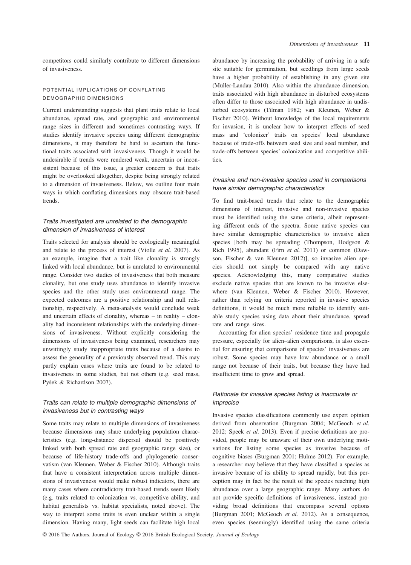competitors could similarly contribute to different dimensions of invasiveness.

# POTENTIAL IMPLICATIONS OF CONFLATING DEMOGRAPHIC DIMENSIONS

Current understanding suggests that plant traits relate to local abundance, spread rate, and geographic and environmental range sizes in different and sometimes contrasting ways. If studies identify invasive species using different demographic dimensions, it may therefore be hard to ascertain the functional traits associated with invasiveness. Though it would be undesirable if trends were rendered weak, uncertain or inconsistent because of this issue, a greater concern is that traits might be overlooked altogether, despite being strongly related to a dimension of invasiveness. Below, we outline four main ways in which conflating dimensions may obscure trait-based trends.

# Traits investigated are unrelated to the demographic dimension of invasiveness of interest

Traits selected for analysis should be ecologically meaningful and relate to the process of interest (Violle et al. 2007). As an example, imagine that a trait like clonality is strongly linked with local abundance, but is unrelated to environmental range. Consider two studies of invasiveness that both measure clonality, but one study uses abundance to identify invasive species and the other study uses environmental range. The expected outcomes are a positive relationship and null relationship, respectively. A meta-analysis would conclude weak and uncertain effects of clonality, whereas – in reality – clonality had inconsistent relationships with the underlying dimensions of invasiveness. Without explicitly considering the dimensions of invasiveness being examined, researchers may unwittingly study inappropriate traits because of a desire to assess the generality of a previously observed trend. This may partly explain cases where traits are found to be related to invasiveness in some studies, but not others (e.g. seed mass, Pysek & Richardson 2007).

## Traits can relate to multiple demographic dimensions of invasiveness but in contrasting ways

Some traits may relate to multiple dimensions of invasiveness because dimensions may share underlying population characteristics (e.g. long-distance dispersal should be positively linked with both spread rate and geographic range size), or because of life-history trade-offs and phylogenetic conservatism (van Kleunen, Weber & Fischer 2010). Although traits that have a consistent interpretation across multiple dimensions of invasiveness would make robust indicators, there are many cases where contradictory trait-based trends seem likely (e.g. traits related to colonization vs. competitive ability, and habitat generalists vs. habitat specialists, noted above). The way to interpret some traits is even unclear within a single dimension. Having many, light seeds can facilitate high local

abundance by increasing the probability of arriving in a safe site suitable for germination, but seedlings from large seeds have a higher probability of establishing in any given site (Muller-Landau 2010). Also within the abundance dimension, traits associated with high abundance in disturbed ecosystems often differ to those associated with high abundance in undisturbed ecosystems (Tilman 1982; van Kleunen, Weber & Fischer 2010). Without knowledge of the local requirements for invasion, it is unclear how to interpret effects of seed mass and 'colonizer' traits on species' local abundance because of trade-offs between seed size and seed number, and trade-offs between species' colonization and competitive abilities.

## Invasive and non-invasive species used in comparisons have similar demographic characteristics

To find trait-based trends that relate to the demographic dimensions of interest, invasive and non-invasive species must be identified using the same criteria, albeit representing different ends of the spectra. Some native species can have similar demographic characteristics to invasive alien species [both may be spreading (Thompson, Hodgson & Rich 1995), abundant (Firn et al. 2011) or common (Dawson, Fischer & van Kleunen 2012)], so invasive alien species should not simply be compared with any native species. Acknowledging this, many comparative studies exclude native species that are known to be invasive elsewhere (van Kleunen, Weber & Fischer 2010). However, rather than relying on criteria reported in invasive species definitions, it would be much more reliable to identify suitable study species using data about their abundance, spread rate and range sizes.

Accounting for alien species' residence time and propagule pressure, especially for alien–alien comparisons, is also essential for ensuring that comparisons of species' invasiveness are robust. Some species may have low abundance or a small range not because of their traits, but because they have had insufficient time to grow and spread.

# Rationale for invasive species listing is inaccurate or imprecise

Invasive species classifications commonly use expert opinion derived from observation (Burgman 2004; McGeoch et al. 2012; Speek et al. 2013). Even if precise definitions are provided, people may be unaware of their own underlying motivations for listing some species as invasive because of cognitive biases (Burgman 2001; Hulme 2012). For example, a researcher may believe that they have classified a species as invasive because of its ability to spread rapidly, but this perception may in fact be the result of the species reaching high abundance over a large geographic range. Many authors do not provide specific definitions of invasiveness, instead providing broad definitions that encompass several options (Burgman 2001; McGeoch et al. 2012). As a consequence, even species (seemingly) identified using the same criteria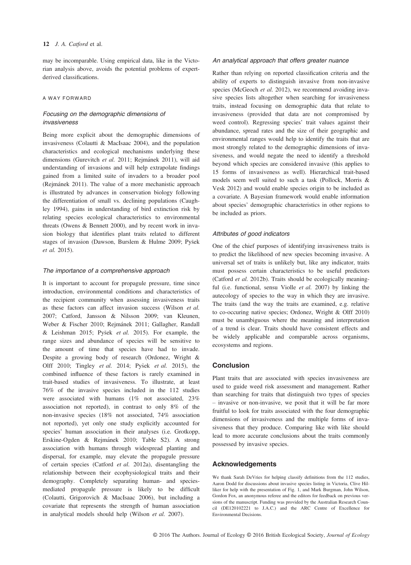may be incomparable. Using empirical data, like in the Victorian analysis above, avoids the potential problems of expertderived classifications.

## A WAY FORWARD

# Focusing on the demographic dimensions of invasiveness

Being more explicit about the demographic dimensions of invasiveness (Colautti & MacIsaac 2004), and the population characteristics and ecological mechanisms underlying these dimensions (Gurevitch et al. 2011; Rejmánek 2011), will aid understanding of invasions and will help extrapolate findings gained from a limited suite of invaders to a broader pool (Rejmanek 2011). The value of a more mechanistic approach is illustrated by advances in conservation biology following the differentiation of small vs. declining populations (Caughley 1994), gains in understanding of bird extinction risk by relating species ecological characteristics to environmental threats (Owens & Bennett 2000), and by recent work in invasion biology that identifies plant traits related to different stages of invasion (Dawson, Burslem & Hulme 2009; Pysek et al. 2015).

#### The importance of a comprehensive approach

It is important to account for propagule pressure, time since introduction, environmental conditions and characteristics of the recipient community when assessing invasiveness traits as these factors can affect invasion success (Wilson et al. 2007; Catford, Jansson & Nilsson 2009; van Kleunen, Weber & Fischer 2010; Rejmánek 2011; Gallagher, Randall & Leishman 2015; Pysek et al. 2015). For example, the range sizes and abundance of species will be sensitive to the amount of time that species have had to invade. Despite a growing body of research (Ordonez, Wright & Olff 2010; Tingley et al. 2014; Pyšek et al. 2015), the combined influence of these factors is rarely examined in trait-based studies of invasiveness. To illustrate, at least 76% of the invasive species included in the 112 studies were associated with humans (1% not associated, 23% association not reported), in contrast to only 8% of the non-invasive species (18% not associated, 74% association not reported), yet only one study explicitly accounted for species' human association in their analyses (i.e. Grotkopp, Erskine-Ogden & Rejmánek 2010; Table S2). A strong association with humans through widespread planting and dispersal, for example, may elevate the propagule pressure of certain species (Catford et al. 2012a), disentangling the relationship between their ecophysiological traits and their demography. Completely separating human- and speciesmediated propagule pressure is likely to be difficult (Colautti, Grigorovich & MacIsaac 2006), but including a covariate that represents the strength of human association in analytical models should help (Wilson et al. 2007).

#### An analytical approach that offers greater nuance

Rather than relying on reported classification criteria and the ability of experts to distinguish invasive from non-invasive species (McGeoch et al. 2012), we recommend avoiding invasive species lists altogether when searching for invasiveness traits, instead focusing on demographic data that relate to invasiveness (provided that data are not compromised by weed control). Regressing species' trait values against their abundance, spread rates and the size of their geographic and environmental ranges would help to identify the traits that are most strongly related to the demographic dimensions of invasiveness, and would negate the need to identify a threshold beyond which species are considered invasive (this applies to 15 forms of invasiveness as well). Hierarchical trait-based models seem well suited to such a task (Pollock, Morris & Vesk 2012) and would enable species origin to be included as a covariate. A Bayesian framework would enable information about species' demographic characteristics in other regions to be included as priors.

## Attributes of good indicators

One of the chief purposes of identifying invasiveness traits is to predict the likelihood of new species becoming invasive. A universal set of traits is unlikely but, like any indicator, traits must possess certain characteristics to be useful predictors (Catford et al. 2012b). Traits should be ecologically meaningful (i.e. functional, sensu Violle *et al.* 2007) by linking the autecology of species to the way in which they are invasive. The traits (and the way the traits are examined, e.g. relative to co-occuring native species; Ordonez, Wright & Olff 2010) must be unambiguous where the meaning and interpretation of a trend is clear. Traits should have consistent effects and be widely applicable and comparable across organisms, ecosystems and regions.

#### **Conclusion**

Plant traits that are associated with species invasiveness are used to guide weed risk assessment and management. Rather than searching for traits that distinguish two types of species – invasive or non-invasive, we posit that it will be far more fruitful to look for traits associated with the four demographic dimensions of invasiveness and the multiple forms of invasiveness that they produce. Comparing like with like should lead to more accurate conclusions about the traits commonly possessed by invasive species.

#### Acknowledgements

We thank Sarah DeVries for helping classify definitions from the 112 studies, Aaron Dodd for discussions about invasive species listing in Victoria, Clive Hilliker for help with the presentation of Fig. 1, and Mark Burgman, John Wilson, Gordon Fox, an anonymous referee and the editors for feedback on previous versions of the manuscript. Funding was provided by the Australian Research Council (DE120102221 to J.A.C.) and the ARC Centre of Excellence for Environmental Decisions.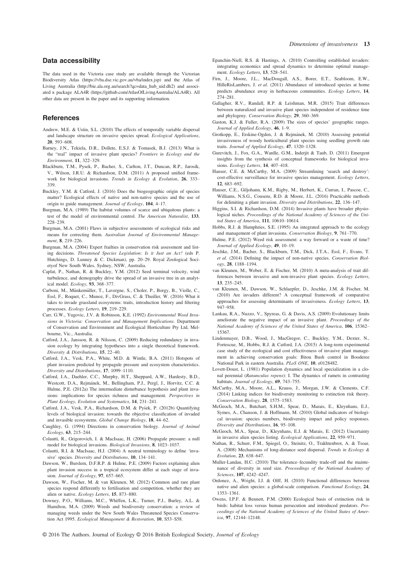## Data accessibility

The data used in the Victoria case study are available through the Victorian Biodiversity Atlas [\(https://vba.dse.vic.gov.au/vba/index.jsp](https://vba.dse.vic.gov.au/vba/index.jsp)) and the Atlas of Living Australia [\(http://bie.ala.org.au/search?qc=data\\_hub\\_uid:dh2](http://bie.ala.org.au/search?qc=data_hub_uid:dh2)) and associated <sup>R</sup> package ALA4R (<https://github.com/AtlasOfLivingAustralia/ALA4R>). All other data are present in the paper and its supporting information.

### **References**

- Andrew, M.E. & Ustin, S.L. (2010) The effects of temporally variable dispersal and landscape structure on invasive species spread. Ecological Applications, 20, 593–608.
- Barney, J.N., Tekiela, D.R., Dollete, E.S.J. & Tomasek, B.J. (2013) What is the "real" impact of invasive plant species? Frontiers in Ecology and the Environment, 11, 322–329.
- Blackburn, T.M., Pysek, P., Bacher, S., Carlton, J.T., Duncan, R.P., Jarosík, V., Wilson, J.R.U. & Richardson, D.M. (2011) A proposed unified framework for biological invasions. Trends in Ecology & Evolution, 26, 333– 339.
- Buckley, Y.M. & Catford, J. (2016) Does the biogeographic origin of species matter? Ecological effects of native and non-native species and the use of origin to guide management. Journal of Ecology, 104, 4–17.
- Burgman, M.A. (1989) The habitat volumes of scarce and ubiquitous plants: a test of the model of environmental control. The American Naturalist, 133, 228–239.
- Burgman, M.A. (2001) Flaws in subjective assessments of ecological risks and means for correcting them. Australian Journal of Environmental Management, **8**, 219–226.
- Burgman, M.A. (2004) Expert frailties in conservation risk assessment and listing decisions. Threatened Species Legislation: Is it Just an Act? (eds P. Hutchings, D. Lunney & C. Dickman), pp. 20–29. Royal Zoological Societyof New South Wales, Sydney, NSW, Australia.
- Caplat, P., Nathan, R. & Buckley, Y.M. (2012) Seed terminal velocity, wind turbulence, and demography drive the spread of an invasive tree in an analytical model. Ecology, 93, 368–377.
- Carboni, M., Münkemüller, T., Lavergne, S., Choler, P., Borgy, B., Violle, C., Essl, F., Roquet, C., Munoz, F., DivGrass, C. & Thuiller, W. (2016) What it takes to invade grassland ecosystems: traits, introduction history and filtering processes. Ecology Letters, 19, 219–229.
- Carr, G.W., Yugovic, J.V. & Robinson, K.E. (1992) Environmental Weed Invasions in Victoria: Conservation and Management Implications. Department of Conservation and Environment and Ecological Horticulture Pty Ltd, Melbourne, Vic., Australia.
- Catford, J.A., Jansson, R. & Nilsson, C. (2009) Reducing redundancy in invasion ecology by integrating hypotheses into a single theoretical framework. Diversity & Distributions, 15, 22–40.
- Catford, J.A., Vesk, P.A., White, M.D. & Wintle, B.A. (2011) Hotspots of plant invasion predicted by propagule pressure and ecosystem characteristics. Diversity and Distributions, 17, 1099–1110.
- Catford, J.A., Daehler, C.C., Murphy, H.T., Sheppard, A.W., Hardesty, B.D., Westcott, D.A., Rejmánek, M., Bellingham, P.J., Pergl, J., Horvitz, C.C. & Hulme, P.E. (2012a) The intermediate disturbance hypothesis and plant invasions: implications for species richness and management. Perspectives in Plant Ecology, Evolution and Systematics, 14, 231–241.
- Catford, J.A., Vesk, P.A., Richardson, D.M. & Pysek, P. (2012b) Quantifying levels of biological invasion: towards the objective classification of invaded and invasible ecosystems. Global Change Biology, 18, 44–62.
- Caughley, G. (1994) Directions in conservation biology. Journal of Animal Ecology, 63, 215–244.
- Colautti, R., Grigorovich, I. & MacIsaac, H. (2006) Propagule pressure: a null model for biological invasions. Biological Invasions, 8, 1023–1037.
- Colautti, R.I. & MacIsaac, H.J. (2004) A neutral terminology to define 'invasive' species. Diversity and Distributions, 10, 134–141.
- Dawson, W., Burslem, D.F.R.P. & Hulme, P.E. (2009) Factors explaining alien plant invasion success in a tropical ecosystem differ at each stage of invasion. Journal of Ecology, 97, 657–665.
- Dawson, W., Fischer, M. & van Kleunen, M. (2012) Common and rare plant species respond differently to fertilisation and competition, whether they are alien or native. Ecology Letters, 15, 873–880.
- Downey, P.O., Williams, M.C., Whiffen, L.K., Turner, P.J., Burley, A.L. & Hamilton, M.A. (2009) Weeds and biodiversity conservation: a review of managing weeds under the New South Wales Threatened Species Conservation Act 1995. Ecological Management & Restoration, 10, S53–S58.
- Epanchin-Niell, R.S. & Hastings, A. (2010) Controlling established invaders: integrating economics and spread dynamics to determine optimal management. Ecology Letters, 13, 528–541.
- Firn, J., Moore, J.L., MacDougall, A.S., Borer, E.T., Seabloom, E.W., HilleRisLambers, J. et al. (2011) Abundance of introduced species at home predicts abundance away in herbaceous communities. Ecology Letters, 14, 274–281.
- Gallagher, R.V., Randall, R.P. & Leishman, M.R. (2015) Trait differences between naturalized and invasive plant species independent of residence time and phylogeny. Conservation Biology, 29, 360–369.
- Gaston, K.J. & Fuller, R.A. (2009) The sizes of species' geographic ranges. Journal of Applied Ecology, 46, 1–9.
- Grotkopp, E., Erskine-Ogden, J. & Rejmánek, M. (2010) Assessing potential invasiveness of woody horticultural plant species using seedling growth rate traits. Journal of Applied Ecology, 47, 1320–1328.
- Gurevitch, J., Fox, G.A., Wardle, G.M., Inderjit & Taub, D. (2011) Emergent insights from the synthesis of conceptual frameworks for biological invasions. Ecology Letters, 14, 407–418.
- Hauser, C.E. & McCarthy, M.A. (2009) Streamlining 'search and destroy': cost-effective surveillance for invasive species management. Ecology Letters, 12, 683–692.
- Hauser, C.E., Giljohann, K.M., Rigby, M., Herbert, K., Curran, I., Pascoe, C., Williams, N.S.G., Cousens, R.D. & Moore, J.L. (2016) Practicable methods for delimiting a plant invasion. Diversity and Distributions, 22, 136–147.
- Higgins, S.I. & Richardson, D.M. (2014) Invasive plants have broader physiological niches. Proceedings of the National Academy of Sciences of the United States of America, 111, 10610–10614.
- Hobbs, R.J. & Humphries, S.E. (1995) An integrated approach to the ecology and management of plant invasions. Conservation Biology, 9, 761–770.
- Hulme, P.E. (2012) Weed risk assessment: a way forward or a waste of time? Journal of Applied Ecology, 49, 10–19.
- Jeschke, J.M., Bacher, S., Blackburn, T.M., Dick, J.T.A., Essl, F., Evans, T. et al. (2014) Defining the impact of non-native species. Conservation Biology, 28, 1188–1194.
- van Kleunen, M., Weber, E. & Fischer, M. (2010) A meta-analysis of trait differences between invasive and non-invasive plant species. Ecology Letters, 13, 235–245.
- van Kleunen, M., Dawson, W., Schlaepfer, D., Jeschke, J.M. & Fischer, M. (2010) Are invaders different? A conceptual framework of comparative approaches for assessing determinants of invasiveness. Ecology Letters, 13, 947–958.
- Lankau, R.A., Nuzzo, V., Spyreas, G. & Davis, A.S. (2009) Evolutionary limits ameliorate the negative impact of an invasive plant. Proceedings of the National Academy of Sciences of the United States of America, 106, 15362– 15367.
- Lindenmayer, D.B., Wood, J., MacGregor, C., Buckley, Y.M., Dexter, N., Fortescue, M., Hobbs, R.J. & Catford, J.A. (2015) A long-term experimental case study of the ecological and cost effectiveness of invasive plant management in achieving conservation goals: Bitou Bush control in Booderee National Park in eastern Australia. PLoS ONE, 10, e0128482.
- Lovett-Doust, L. (1981) Population dynamics and local specialization in a clonal perennial (Ranunculus repens): I. The dynamics of ramets in contrasting habitats. Journal of Ecology, 69, 743–755.
- McCarthy, M.A., Moore, A.L., Krauss, J., Morgan, J.W. & Clements, C.F. (2014) Linking indices for biodiversity monitoring to extinction risk theory. Conservation Biology, 28, 1575–1583.
- McGeoch, M.A., Butchart, S.H.M., Spear, D., Marais, E., Kleynhans, E.J., Symes, A., Chanson, J. & Hoffmann, M. (2010) Global indicators of biological invasion: species numbers, biodiversity impact and policy responses. Diversity and Distributions, 16, 95–108.
- McGeoch, M.A., Spear, D., Kleynhans, E.J. & Marais, E. (2012) Uncertainty in invasive alien species listing. Ecological Applications, 22, 959–971.
- Nathan, R., Schurr, F.M., Spiegel, O., Steinitz, O., Trakhtenbrot, A. & Tsoar, A. (2008) Mechanisms of long-distance seed dispersal. Trends in Ecology & Evolution, 23, 638–647.
- Muller-Landau, H.C. (2010) The tolerance–fecundity trade-off and the maintenance of diversity in seed size. Proceedings of the National Academy of Sciences, 107, 4242–4247.
- Ordonez, A., Wright, I.J. & Olff, H. (2010) Functional differences between native and alien species: a global-scale comparison. Functional Ecology, 24, 1353–1361.
- Owens, I.P.F. & Bennett, P.M. (2000) Ecological basis of extinction risk in birds: habitat loss versus human persecution and introduced predators. Proceedings of the National Academy of Sciences of the United States of America, 97, 12144–12148.